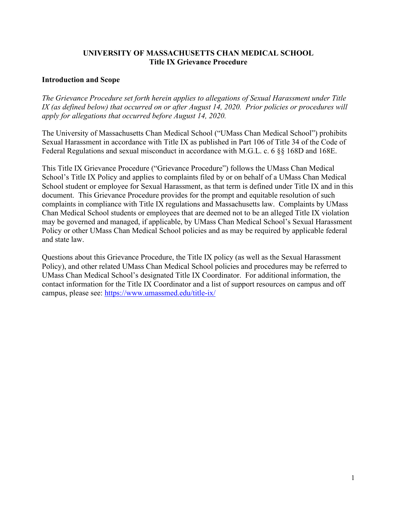#### **UNIVERSITY OF MASSACHUSETTS CHAN MEDICAL SCHOOL Title IX Grievance Procedure**

#### **Introduction and Scope**

*The Grievance Procedure set forth herein applies to allegations of Sexual Harassment under Title IX (as defined below) that occurred on or after August 14, 2020. Prior policies or procedures will apply for allegations that occurred before August 14, 2020.*

The University of Massachusetts Chan Medical School ("UMass Chan Medical School") prohibits Sexual Harassment in accordance with Title IX as published in Part 106 of Title 34 of the Code of Federal Regulations and sexual misconduct in accordance with M.G.L. c. 6 §§ 168D and 168E.

This Title IX Grievance Procedure ("Grievance Procedure") follows the UMass Chan Medical School's Title IX Policy and applies to complaints filed by or on behalf of a UMass Chan Medical School student or employee for Sexual Harassment, as that term is defined under Title IX and in this document. This Grievance Procedure provides for the prompt and equitable resolution of such complaints in compliance with Title IX regulations and Massachusetts law. Complaints by UMass Chan Medical School students or employees that are deemed not to be an alleged Title IX violation may be governed and managed, if applicable, by UMass Chan Medical School's Sexual Harassment Policy or other UMass Chan Medical School policies and as may be required by applicable federal and state law.

Questions about this Grievance Procedure, the Title IX policy (as well as the Sexual Harassment Policy), and other related UMass Chan Medical School policies and procedures may be referred to UMass Chan Medical School's designated Title IX Coordinator. For additional information, the contact information for the Title IX Coordinator and a list of support resources on campus and off campus, please see:<https://www.umassmed.edu/title-ix/>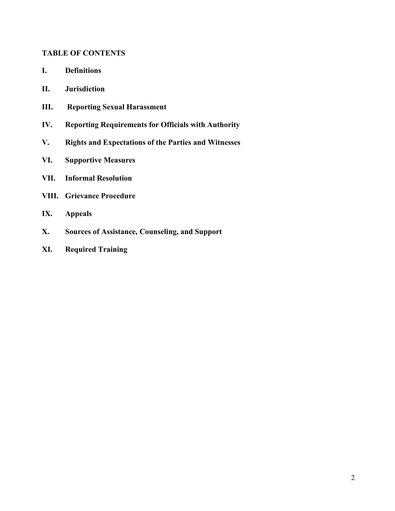#### **TABLE OF CONTENTS**

- **I. Definitions**
- **II. Jurisdiction**
- **III. Reporting Sexual Harassment**
- **IV. Reporting Requirements for Officials with Authority**
- **V. Rights and Expectations of the Parties and Witnesses**
- **VI. Supportive Measures**
- **VII. Informal Resolution**
- **VIII. Grievance Procedure**
- **IX. Appeals**
- **X. Sources of Assistance, Counseling, and Support**
- **XI. Required Training**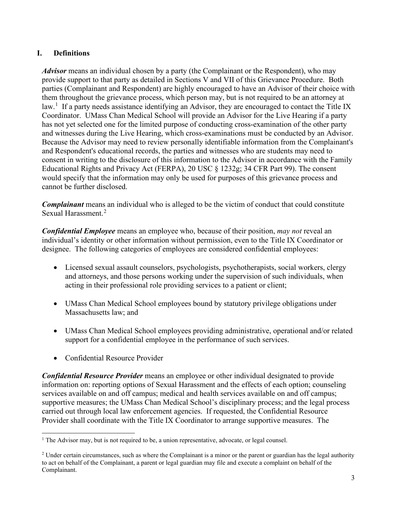## **I. Definitions**

*Advisor* means an individual chosen by a party (the Complainant or the Respondent), who may provide support to that party as detailed in Sections V and VII of this Grievance Procedure. Both parties (Complainant and Respondent) are highly encouraged to have an Advisor of their choice with them throughout the grievance process, which person may, but is not required to be an attorney at law.<sup>[1](#page-2-0)</sup> If a party needs assistance identifying an Advisor, they are encouraged to contact the Title IX Coordinator. UMass Chan Medical School will provide an Advisor for the Live Hearing if a party has not yet selected one for the limited purpose of conducting cross-examination of the other party and witnesses during the Live Hearing, which cross-examinations must be conducted by an Advisor. Because the Advisor may need to review personally identifiable information from the Complainant's and Respondent's educational records, the parties and witnesses who are students may need to consent in writing to the disclosure of this information to the Advisor in accordance with the Family Educational Rights and Privacy Act (FERPA), 20 USC § 1232g; 34 CFR Part 99). The consent would specify that the information may only be used for purposes of this grievance process and cannot be further disclosed.

*Complainant* means an individual who is alleged to be the victim of conduct that could constitute Sexual Harassment.<sup>[2](#page-2-1)</sup>

*Confidential Employee* means an employee who, because of their position, *may not* reveal an individual's identity or other information without permission, even to the Title IX Coordinator or designee. The following categories of employees are considered confidential employees:

- Licensed sexual assault counselors, psychologists, psychotherapists, social workers, clergy and attorneys, and those persons working under the supervision of such individuals, when acting in their professional role providing services to a patient or client;
- UMass Chan Medical School employees bound by statutory privilege obligations under Massachusetts law; and
- UMass Chan Medical School employees providing administrative, operational and/or related support for a confidential employee in the performance of such services.
- Confidential Resource Provider

*Confidential Resource Provider* means an employee or other individual designated to provide information on: reporting options of Sexual Harassment and the effects of each option; counseling services available on and off campus; medical and health services available on and off campus; supportive measures; the UMass Chan Medical School's disciplinary process; and the legal process carried out through local law enforcement agencies. If requested, the Confidential Resource Provider shall coordinate with the Title IX Coordinator to arrange supportive measures. The

<span id="page-2-0"></span> $<sup>1</sup>$  The Advisor may, but is not required to be, a union representative, advocate, or legal counsel.</sup>

<span id="page-2-1"></span> $2$  Under certain circumstances, such as where the Complainant is a minor or the parent or guardian has the legal authority to act on behalf of the Complainant, a parent or legal guardian may file and execute a complaint on behalf of the Complainant.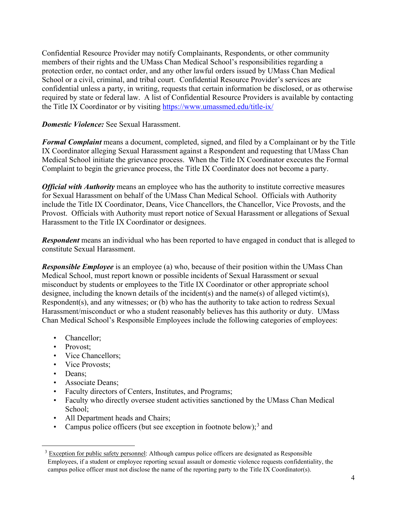Confidential Resource Provider may notify Complainants, Respondents, or other community members of their rights and the UMass Chan Medical School's responsibilities regarding a protection order, no contact order, and any other lawful orders issued by UMass Chan Medical School or a civil, criminal, and tribal court. Confidential Resource Provider's services are confidential unless a party, in writing, requests that certain information be disclosed, or as otherwise required by state or federal law. A list of Confidential Resource Providers is available by contacting the Title IX Coordinator or by visiting <https://www.umassmed.edu/title-ix/>

*Domestic Violence:* See Sexual Harassment.

*Formal Complaint* means a document, completed, signed, and filed by a Complainant or by the Title IX Coordinator alleging Sexual Harassment against a Respondent and requesting that UMass Chan Medical School initiate the grievance process. When the Title IX Coordinator executes the Formal Complaint to begin the grievance process, the Title IX Coordinator does not become a party.

*Official with Authority* means an employee who has the authority to institute corrective measures for Sexual Harassment on behalf of the UMass Chan Medical School. Officials with Authority include the Title IX Coordinator, Deans, Vice Chancellors, the Chancellor, Vice Provosts, and the Provost. Officials with Authority must report notice of Sexual Harassment or allegations of Sexual Harassment to the Title IX Coordinator or designees.

*Respondent* means an individual who has been reported to have engaged in conduct that is alleged to constitute Sexual Harassment.

*Responsible Employee* is an employee (a) who, because of their position within the UMass Chan Medical School, must report known or possible incidents of Sexual Harassment or sexual misconduct by students or employees to the Title IX Coordinator or other appropriate school designee, including the known details of the incident(s) and the name(s) of alleged victim(s), Respondent(s), and any witnesses; or (b) who has the authority to take action to redress Sexual Harassment/misconduct or who a student reasonably believes has this authority or duty. UMass Chan Medical School's Responsible Employees include the following categories of employees:

- Chancellor;
- Provost:
- Vice Chancellors:
- Vice Provosts:
- Deans;
- Associate Deans;
- Faculty directors of Centers, Institutes, and Programs;
- Faculty who directly oversee student activities sanctioned by the UMass Chan Medical School;
- All Department heads and Chairs;
- Campus police officers (but see exception in footnote below);<sup>[3](#page-3-0)</sup> and

<span id="page-3-0"></span><sup>&</sup>lt;sup>3</sup> Exception for public safety personnel: Although campus police officers are designated as Responsible Employees, if a student or employee reporting sexual assault or domestic violence requests confidentiality, the campus police officer must not disclose the name of the reporting party to the Title IX Coordinator(s).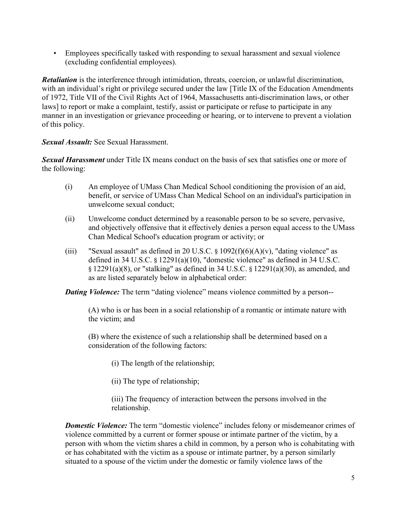• Employees specifically tasked with responding to sexual harassment and sexual violence (excluding confidential employees).

*Retaliation* is the interference through intimidation, threats, coercion, or unlawful discrimination, with an individual's right or privilege secured under the law [Title IX of the Education Amendments of 1972, Title VII of the Civil Rights Act of 1964, Massachusetts anti-discrimination laws, or other laws] to report or make a complaint, testify, assist or participate or refuse to participate in any manner in an investigation or grievance proceeding or hearing, or to intervene to prevent a violation of this policy.

*Sexual Assault:* See Sexual Harassment.

*Sexual Harassment* under Title IX means conduct on the basis of sex that satisfies one or more of the following:

- (i) An employee of UMass Chan Medical School conditioning the provision of an aid, benefit, or service of UMass Chan Medical School on an individual's participation in unwelcome sexual conduct;
- (ii) Unwelcome conduct determined by a reasonable person to be so severe, pervasive, and objectively offensive that it effectively denies a person equal access to the UMass Chan Medical School's education program or activity; or
- (iii) "Sexual assault" as defined in 20 U.S.C.  $\S 1092(f)(6)(A)(v)$ , "dating violence" as defined in 34 U.S.C. § 12291(a)(10), "domestic violence" as defined in 34 U.S.C. § 12291(a)(8), or "stalking" as defined in 34 U.S.C. § 12291(a)(30), as amended, and as are listed separately below in alphabetical order:

*Dating Violence:* The term "dating violence" means violence committed by a person--

(A) who is or has been in a social relationship of a romantic or intimate nature with the victim; and

(B) where the existence of such a relationship shall be determined based on a consideration of the following factors:

- (i) The length of the relationship;
- (ii) The type of relationship;

(iii) The frequency of interaction between the persons involved in the relationship.

**Domestic Violence:** The term "domestic violence" includes felony or misdemeanor crimes of violence committed by a current or former spouse or intimate partner of the victim, by a person with whom the victim shares a child in common, by a person who is cohabitating with or has cohabitated with the victim as a spouse or intimate partner, by a person similarly situated to a spouse of the victim under the domestic or family violence laws of the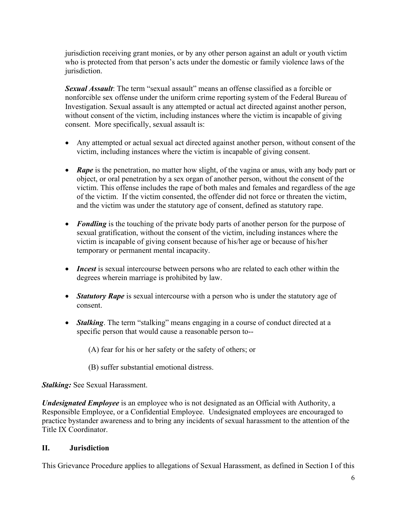jurisdiction receiving grant monies, or by any other person against an adult or youth victim who is protected from that person's acts under the domestic or family violence laws of the jurisdiction.

*Sexual Assault*: The term "sexual assault" means an offense classified as a forcible or nonforcible sex offense under the uniform crime reporting system of the Federal Bureau of Investigation. Sexual assault is any attempted or actual act directed against another person, without consent of the victim, including instances where the victim is incapable of giving consent. More specifically, sexual assault is:

- Any attempted or actual sexual act directed against another person, without consent of the victim, including instances where the victim is incapable of giving consent.
- **Rape** is the penetration, no matter how slight, of the vagina or anus, with any body part or object, or oral penetration by a sex organ of another person, without the consent of the victim. This offense includes the rape of both males and females and regardless of the age of the victim. If the victim consented, the offender did not force or threaten the victim, and the victim was under the statutory age of consent, defined as statutory rape.
- *Fondling* is the touching of the private body parts of another person for the purpose of sexual gratification, without the consent of the victim, including instances where the victim is incapable of giving consent because of his/her age or because of his/her temporary or permanent mental incapacity.
- *Incest* is sexual intercourse between persons who are related to each other within the degrees wherein marriage is prohibited by law.
- *Statutory Rape* is sexual intercourse with a person who is under the statutory age of consent.
- *Stalking*. The term "stalking" means engaging in a course of conduct directed at a specific person that would cause a reasonable person to--

(A) fear for his or her safety or the safety of others; or

(B) suffer substantial emotional distress.

*Stalking:* See Sexual Harassment.

*Undesignated Employee* is an employee who is not designated as an Official with Authority, a Responsible Employee, or a Confidential Employee. Undesignated employees are encouraged to practice bystander awareness and to bring any incidents of sexual harassment to the attention of the Title IX Coordinator.

### **II. Jurisdiction**

This Grievance Procedure applies to allegations of Sexual Harassment, as defined in Section I of this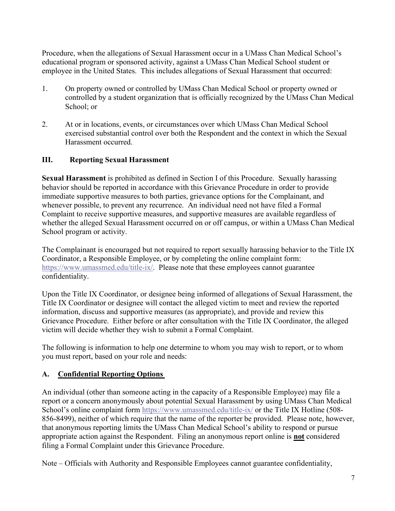Procedure, when the allegations of Sexual Harassment occur in a UMass Chan Medical School's educational program or sponsored activity, against a UMass Chan Medical School student or employee in the United States. This includes allegations of Sexual Harassment that occurred:

- 1. On property owned or controlled by UMass Chan Medical School or property owned or controlled by a student organization that is officially recognized by the UMass Chan Medical School; or
- 2. At or in locations, events, or circumstances over which UMass Chan Medical School exercised substantial control over both the Respondent and the context in which the Sexual Harassment occurred.

### **III. Reporting Sexual Harassment**

**Sexual Harassment** is prohibited as defined in Section I of this Procedure. Sexually harassing behavior should be reported in accordance with this Grievance Procedure in order to provide immediate supportive measures to both parties, grievance options for the Complainant, and whenever possible, to prevent any recurrence. An individual need not have filed a Formal Complaint to receive supportive measures, and supportive measures are available regardless of whether the alleged Sexual Harassment occurred on or off campus, or within a UMass Chan Medical School program or activity.

The Complainant is encouraged but not required to report sexually harassing behavior to the Title IX Coordinator, a Responsible Employee, or by completing the online complaint form: [https://www.umassmed.edu/title-ix/.](https://www.umassmed.edu/title-ix/) Please note that these employees cannot guarantee confidentiality.

Upon the Title IX Coordinator, or designee being informed of allegations of Sexual Harassment, the Title IX Coordinator or designee will contact the alleged victim to meet and review the reported information, discuss and supportive measures (as appropriate), and provide and review this Grievance Procedure. Either before or after consultation with the Title IX Coordinator, the alleged victim will decide whether they wish to submit a Formal Complaint.

The following is information to help one determine to whom you may wish to report, or to whom you must report, based on your role and needs:

## **A. Confidential Reporting Options**

An individual (other than someone acting in the capacity of a Responsible Employee) may file a report or a concern anonymously about potential Sexual Harassment by using UMass Chan Medical School's online complaint form<https://www.umassmed.edu/title-ix/> or the Title IX Hotline (508-856-8499), neither of which require that the name of the reporter be provided. Please note, however, that anonymous reporting limits the UMass Chan Medical School's ability to respond or pursue appropriate action against the Respondent. Filing an anonymous report online is **not** considered filing a Formal Complaint under this Grievance Procedure.

Note – Officials with Authority and Responsible Employees cannot guarantee confidentiality,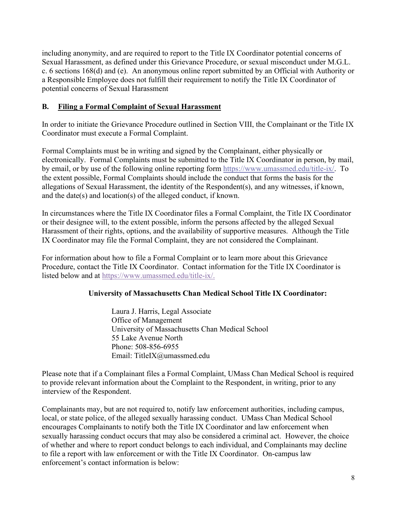including anonymity, and are required to report to the Title IX Coordinator potential concerns of Sexual Harassment, as defined under this Grievance Procedure, or sexual misconduct under M.G.L. c. 6 sections 168(d) and (e). An anonymous online report submitted by an Official with Authority or a Responsible Employee does not fulfill their requirement to notify the Title IX Coordinator of potential concerns of Sexual Harassment

### **B. Filing a Formal Complaint of Sexual Harassment**

In order to initiate the Grievance Procedure outlined in Section VIII, the Complainant or the Title IX Coordinator must execute a Formal Complaint.

Formal Complaints must be in writing and signed by the Complainant, either physically or electronically. Formal Complaints must be submitted to the Title IX Coordinator in person, by mail, by email, or by use of the following online reporting form [https://www.umassmed.edu/title-ix/.](https://www.umassmed.edu/title-ix/) To the extent possible, Formal Complaints should include the conduct that forms the basis for the allegations of Sexual Harassment, the identity of the Respondent(s), and any witnesses, if known, and the date(s) and location(s) of the alleged conduct, if known.

In circumstances where the Title IX Coordinator files a Formal Complaint, the Title IX Coordinator or their designee will, to the extent possible, inform the persons affected by the alleged Sexual Harassment of their rights, options, and the availability of supportive measures. Although the Title IX Coordinator may file the Formal Complaint, they are not considered the Complainant.

For information about how to file a Formal Complaint or to learn more about this Grievance Procedure, contact the Title IX Coordinator. Contact information for the Title IX Coordinator is listed below and at [https://www.umassmed.edu/title-ix/.](https://www.umassmed.edu/title-ix/)

## **University of Massachusetts Chan Medical School Title IX Coordinator:**

Laura J. Harris, Legal Associate Office of Management University of Massachusetts Chan Medical School 55 Lake Avenue North Phone: 508-856-6955 Email: TitleIX@umassmed.edu

Please note that if a Complainant files a Formal Complaint, UMass Chan Medical School is required to provide relevant information about the Complaint to the Respondent, in writing, prior to any interview of the Respondent.

Complainants may, but are not required to, notify law enforcement authorities, including campus, local, or state police, of the alleged sexually harassing conduct. UMass Chan Medical School encourages Complainants to notify both the Title IX Coordinator and law enforcement when sexually harassing conduct occurs that may also be considered a criminal act. However, the choice of whether and where to report conduct belongs to each individual, and Complainants may decline to file a report with law enforcement or with the Title IX Coordinator. On-campus law enforcement's contact information is below: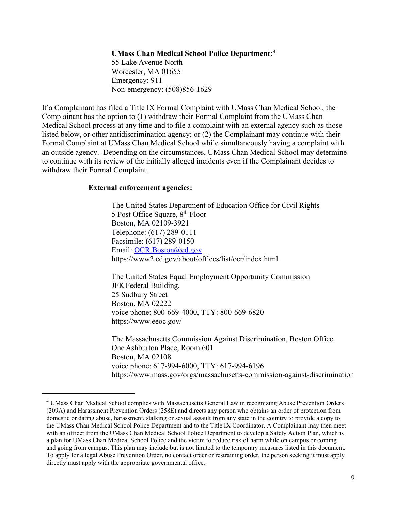# **UMass Chan Medical School Police Department:[4](#page-8-0)**

55 Lake Avenue North Worcester, MA 01655 Emergency: 911 Non-emergency: (508)856-1629

If a Complainant has filed a Title IX Formal Complaint with UMass Chan Medical School, the Complainant has the option to (1) withdraw their Formal Complaint from the UMass Chan Medical School process at any time and to file a complaint with an external agency such as those listed below, or other antidiscrimination agency; or (2) the Complainant may continue with their Formal Complaint at UMass Chan Medical School while simultaneously having a complaint with an outside agency. Depending on the circumstances, UMass Chan Medical School may determine to continue with its review of the initially alleged incidents even if the Complainant decides to withdraw their Formal Complaint.

#### **External enforcement agencies:**

The United States Department of Education Office for Civil Rights 5 Post Office Square,  $8<sup>th</sup>$  Floor Boston, MA 02109-3921 Telephone: (617) 289-0111 Facsimile: (617) 289-0150 Email: [OCR.Boston@ed.gov](mailto:OCR.Boston@ed.gov) https://www2.ed.gov/about/offices/list/ocr/index.html

The United States Equal Employment Opportunity Commission JFK Federal Building, 25 Sudbury Street Boston, MA 02222 voice phone: 800-669-4000, TTY: 800-669-6820 https://www.eeoc.gov/

The Massachusetts Commission Against Discrimination, Boston Office One Ashburton Place, Room 601 Boston, MA 02108 voice phone: 617-994-6000, TTY: 617-994-6196 https://www.mass.gov/orgs/massachusetts-commission-against-discrimination

<span id="page-8-0"></span><sup>4</sup> UMass Chan Medical School complies with Massachusetts General Law in recognizing Abuse Prevention Orders (209A) and Harassment Prevention Orders (258E) and directs any person who obtains an order of protection from domestic or dating abuse, harassment, stalking or sexual assault from any state in the country to provide a copy to the UMass Chan Medical School Police Department and to the Title IX Coordinator. A Complainant may then meet with an officer from the UMass Chan Medical School Police Department to develop a Safety Action Plan, which is a plan for UMass Chan Medical School Police and the victim to reduce risk of harm while on campus or coming and going from campus. This plan may include but is not limited to the temporary measures listed in this document. To apply for a legal Abuse Prevention Order, no contact order or restraining order, the person seeking it must apply directly must apply with the appropriate governmental office.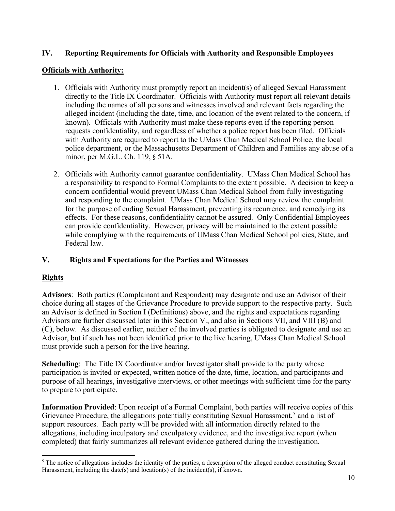### **IV. Reporting Requirements for Officials with Authority and Responsible Employees**

#### **Officials with Authority:**

- 1. Officials with Authority must promptly report an incident(s) of alleged Sexual Harassment directly to the Title IX Coordinator. Officials with Authority must report all relevant details including the names of all persons and witnesses involved and relevant facts regarding the alleged incident (including the date, time, and location of the event related to the concern, if known). Officials with Authority must make these reports even if the reporting person requests confidentiality, and regardless of whether a police report has been filed. Officials with Authority are required to report to the UMass Chan Medical School Police, the local police department, or the Massachusetts Department of Children and Families any abuse of a minor, per M.G.L. Ch. 119, § 51A.
- 2. Officials with Authority cannot guarantee confidentiality. UMass Chan Medical School has a responsibility to respond to Formal Complaints to the extent possible. A decision to keep a concern confidential would prevent UMass Chan Medical School from fully investigating and responding to the complaint. UMass Chan Medical School may review the complaint for the purpose of ending Sexual Harassment, preventing its recurrence, and remedying its effects. For these reasons, confidentiality cannot be assured. Only Confidential Employees can provide confidentiality. However, privacy will be maintained to the extent possible while complying with the requirements of UMass Chan Medical School policies, State, and Federal law.

### **V. Rights and Expectations for the Parties and Witnesses**

### **Rights**

**Advisors**: Both parties (Complainant and Respondent) may designate and use an Advisor of their choice during all stages of the Grievance Procedure to provide support to the respective party. Such an Advisor is defined in Section I (Definitions) above, and the rights and expectations regarding Advisors are further discussed later in this Section V., and also in Sections VII, and VIII (B) and (C), below. As discussed earlier, neither of the involved parties is obligated to designate and use an Advisor, but if such has not been identified prior to the live hearing, UMass Chan Medical School must provide such a person for the live hearing.

**Scheduling**: The Title IX Coordinator and/or Investigator shall provide to the party whose participation is invited or expected, written notice of the date, time, location, and participants and purpose of all hearings, investigative interviews, or other meetings with sufficient time for the party to prepare to participate.

**Information Provided**: Upon receipt of a Formal Complaint, both parties will receive copies of this Grievance Procedure, the allegations potentially constituting Sexual Harassment,<sup>[5](#page-9-0)</sup> and a list of support resources. Each party will be provided with all information directly related to the allegations, including inculpatory and exculpatory evidence, and the investigative report (when completed) that fairly summarizes all relevant evidence gathered during the investigation.

<span id="page-9-0"></span> $<sup>5</sup>$  The notice of allegations includes the identity of the parties, a description of the alleged conduct constituting Sexual</sup> Harassment, including the date(s) and location(s) of the incident(s), if known.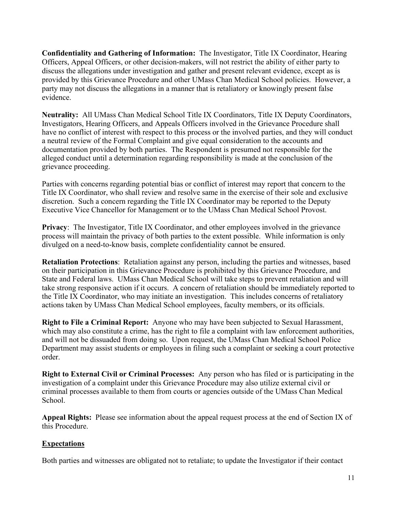**Confidentiality and Gathering of Information:** The Investigator, Title IX Coordinator, Hearing Officers, Appeal Officers, or other decision-makers, will not restrict the ability of either party to discuss the allegations under investigation and gather and present relevant evidence, except as is provided by this Grievance Procedure and other UMass Chan Medical School policies. However, a party may not discuss the allegations in a manner that is retaliatory or knowingly present false evidence.

**Neutrality:** All UMass Chan Medical School Title IX Coordinators, Title IX Deputy Coordinators, Investigators, Hearing Officers, and Appeals Officers involved in the Grievance Procedure shall have no conflict of interest with respect to this process or the involved parties, and they will conduct a neutral review of the Formal Complaint and give equal consideration to the accounts and documentation provided by both parties. The Respondent is presumed not responsible for the alleged conduct until a determination regarding responsibility is made at the conclusion of the grievance proceeding.

Parties with concerns regarding potential bias or conflict of interest may report that concern to the Title IX Coordinator, who shall review and resolve same in the exercise of their sole and exclusive discretion. Such a concern regarding the Title IX Coordinator may be reported to the Deputy Executive Vice Chancellor for Management or to the UMass Chan Medical School Provost.

**Privacy:** The Investigator, Title IX Coordinator, and other employees involved in the grievance process will maintain the privacy of both parties to the extent possible. While information is only divulged on a need-to-know basis, complete confidentiality cannot be ensured.

**Retaliation Protections**: Retaliation against any person, including the parties and witnesses, based on their participation in this Grievance Procedure is prohibited by this Grievance Procedure, and State and Federal laws. UMass Chan Medical School will take steps to prevent retaliation and will take strong responsive action if it occurs. A concern of retaliation should be immediately reported to the Title IX Coordinator, who may initiate an investigation. This includes concerns of retaliatory actions taken by UMass Chan Medical School employees, faculty members, or its officials.

**Right to File a Criminal Report:** Anyone who may have been subjected to Sexual Harassment, which may also constitute a crime, has the right to file a complaint with law enforcement authorities, and will not be dissuaded from doing so. Upon request, the UMass Chan Medical School Police Department may assist students or employees in filing such a complaint or seeking a court protective order.

**Right to External Civil or Criminal Processes:** Any person who has filed or is participating in the investigation of a complaint under this Grievance Procedure may also utilize external civil or criminal processes available to them from courts or agencies outside of the UMass Chan Medical School.

**Appeal Rights:** Please see information about the appeal request process at the end of Section IX of this Procedure.

### **Expectations**

Both parties and witnesses are obligated not to retaliate; to update the Investigator if their contact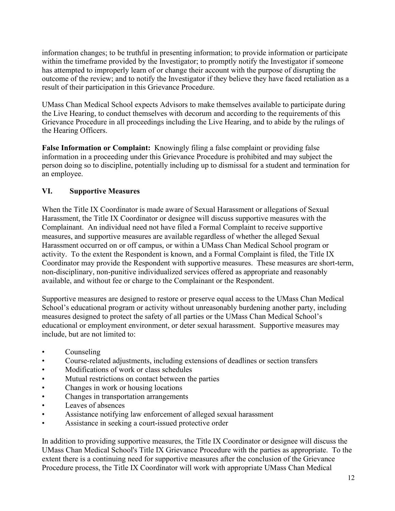information changes; to be truthful in presenting information; to provide information or participate within the timeframe provided by the Investigator; to promptly notify the Investigator if someone has attempted to improperly learn of or change their account with the purpose of disrupting the outcome of the review; and to notify the Investigator if they believe they have faced retaliation as a result of their participation in this Grievance Procedure.

UMass Chan Medical School expects Advisors to make themselves available to participate during the Live Hearing, to conduct themselves with decorum and according to the requirements of this Grievance Procedure in all proceedings including the Live Hearing, and to abide by the rulings of the Hearing Officers.

**False Information or Complaint:** Knowingly filing a false complaint or providing false information in a proceeding under this Grievance Procedure is prohibited and may subject the person doing so to discipline, potentially including up to dismissal for a student and termination for an employee.

#### **VI. Supportive Measures**

When the Title IX Coordinator is made aware of Sexual Harassment or allegations of Sexual Harassment, the Title IX Coordinator or designee will discuss supportive measures with the Complainant. An individual need not have filed a Formal Complaint to receive supportive measures, and supportive measures are available regardless of whether the alleged Sexual Harassment occurred on or off campus, or within a UMass Chan Medical School program or activity. To the extent the Respondent is known, and a Formal Complaint is filed, the Title IX Coordinator may provide the Respondent with supportive measures. These measures are short-term, non-disciplinary, non-punitive individualized services offered as appropriate and reasonably available, and without fee or charge to the Complainant or the Respondent.

Supportive measures are designed to restore or preserve equal access to the UMass Chan Medical School's educational program or activity without unreasonably burdening another party, including measures designed to protect the safety of all parties or the UMass Chan Medical School's educational or employment environment, or deter sexual harassment. Supportive measures may include, but are not limited to:

- Counseling
- Course-related adjustments, including extensions of deadlines or section transfers
- Modifications of work or class schedules
- Mutual restrictions on contact between the parties
- Changes in work or housing locations
- Changes in transportation arrangements
- Leaves of absences
- Assistance notifying law enforcement of alleged sexual harassment
- Assistance in seeking a court-issued protective order

In addition to providing supportive measures, the Title IX Coordinator or designee will discuss the UMass Chan Medical School's Title IX Grievance Procedure with the parties as appropriate. To the extent there is a continuing need for supportive measures after the conclusion of the Grievance Procedure process, the Title IX Coordinator will work with appropriate UMass Chan Medical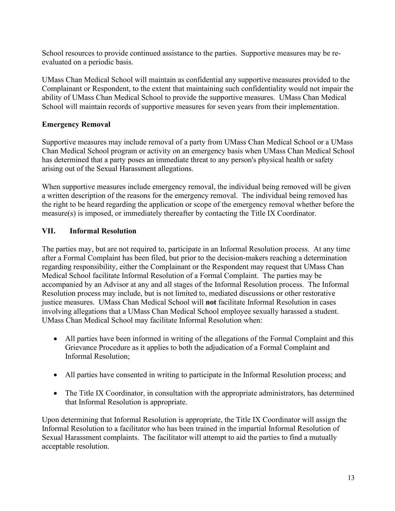School resources to provide continued assistance to the parties. Supportive measures may be reevaluated on a periodic basis.

UMass Chan Medical School will maintain as confidential any supportive measures provided to the Complainant or Respondent, to the extent that maintaining such confidentiality would not impair the ability of UMass Chan Medical School to provide the supportive measures. UMass Chan Medical School will maintain records of supportive measures for seven years from their implementation.

### **Emergency Removal**

Supportive measures may include removal of a party from UMass Chan Medical School or a UMass Chan Medical School program or activity on an emergency basis when UMass Chan Medical School has determined that a party poses an immediate threat to any person's physical health or safety arising out of the Sexual Harassment allegations.

When supportive measures include emergency removal, the individual being removed will be given a written description of the reasons for the emergency removal. The individual being removed has the right to be heard regarding the application or scope of the emergency removal whether before the measure(s) is imposed, or immediately thereafter by contacting the Title IX Coordinator.

## **VII. Informal Resolution**

The parties may, but are not required to, participate in an Informal Resolution process. At any time after a Formal Complaint has been filed, but prior to the decision-makers reaching a determination regarding responsibility, either the Complainant or the Respondent may request that UMass Chan Medical School facilitate Informal Resolution of a Formal Complaint. The parties may be accompanied by an Advisor at any and all stages of the Informal Resolution process. The Informal Resolution process may include, but is not limited to, mediated discussions or other restorative justice measures. UMass Chan Medical School will **not** facilitate Informal Resolution in cases involving allegations that a UMass Chan Medical School employee sexually harassed a student. UMass Chan Medical School may facilitate Informal Resolution when:

- All parties have been informed in writing of the allegations of the Formal Complaint and this Grievance Procedure as it applies to both the adjudication of a Formal Complaint and Informal Resolution;
- All parties have consented in writing to participate in the Informal Resolution process; and
- The Title IX Coordinator, in consultation with the appropriate administrators, has determined that Informal Resolution is appropriate.

Upon determining that Informal Resolution is appropriate, the Title IX Coordinator will assign the Informal Resolution to a facilitator who has been trained in the impartial Informal Resolution of Sexual Harassment complaints. The facilitator will attempt to aid the parties to find a mutually acceptable resolution.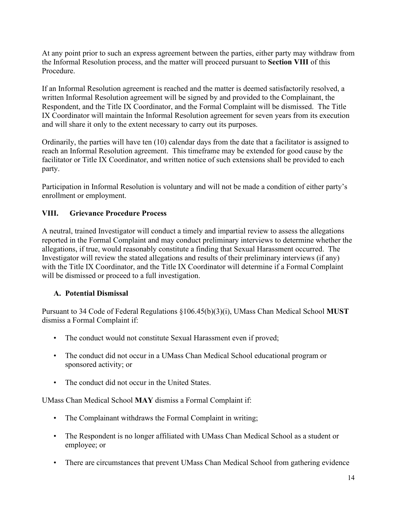At any point prior to such an express agreement between the parties, either party may withdraw from the Informal Resolution process, and the matter will proceed pursuant to **Section VIII** of this Procedure.

If an Informal Resolution agreement is reached and the matter is deemed satisfactorily resolved, a written Informal Resolution agreement will be signed by and provided to the Complainant, the Respondent, and the Title IX Coordinator, and the Formal Complaint will be dismissed. The Title IX Coordinator will maintain the Informal Resolution agreement for seven years from its execution and will share it only to the extent necessary to carry out its purposes.

Ordinarily, the parties will have ten (10) calendar days from the date that a facilitator is assigned to reach an Informal Resolution agreement. This timeframe may be extended for good cause by the facilitator or Title IX Coordinator, and written notice of such extensions shall be provided to each party.

Participation in Informal Resolution is voluntary and will not be made a condition of either party's enrollment or employment.

### **VIII. Grievance Procedure Process**

A neutral, trained Investigator will conduct a timely and impartial review to assess the allegations reported in the Formal Complaint and may conduct preliminary interviews to determine whether the allegations, if true, would reasonably constitute a finding that Sexual Harassment occurred. The Investigator will review the stated allegations and results of their preliminary interviews (if any) with the Title IX Coordinator, and the Title IX Coordinator will determine if a Formal Complaint will be dismissed or proceed to a full investigation.

### **A. Potential Dismissal**

Pursuant to 34 Code of Federal Regulations §106.45(b)(3)(i), UMass Chan Medical School **MUST** dismiss a Formal Complaint if:

- The conduct would not constitute Sexual Harassment even if proved;
- The conduct did not occur in a UMass Chan Medical School educational program or sponsored activity; or
- The conduct did not occur in the United States.

UMass Chan Medical School **MAY** dismiss a Formal Complaint if:

- The Complainant withdraws the Formal Complaint in writing;
- The Respondent is no longer affiliated with UMass Chan Medical School as a student or employee; or
- There are circumstances that prevent UMass Chan Medical School from gathering evidence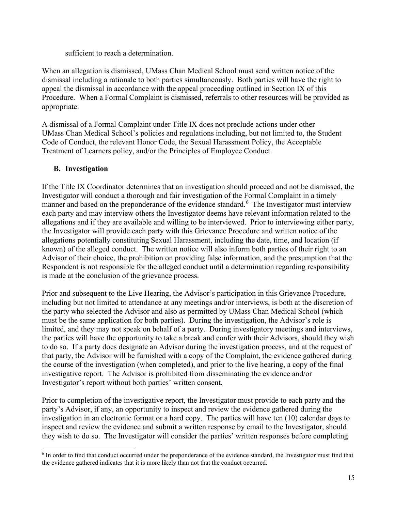sufficient to reach a determination.

When an allegation is dismissed, UMass Chan Medical School must send written notice of the dismissal including a rationale to both parties simultaneously. Both parties will have the right to appeal the dismissal in accordance with the appeal proceeding outlined in Section IX of this Procedure. When a Formal Complaint is dismissed, referrals to other resources will be provided as appropriate.

A dismissal of a Formal Complaint under Title IX does not preclude actions under other UMass Chan Medical School's policies and regulations including, but not limited to, the Student Code of Conduct, the relevant Honor Code, the Sexual Harassment Policy, the Acceptable Treatment of Learners policy, and/or the Principles of Employee Conduct.

### **B. Investigation**

If the Title IX Coordinator determines that an investigation should proceed and not be dismissed, the Investigator will conduct a thorough and fair investigation of the Formal Complaint in a timely manner and based on the preponderance of the evidence standard.<sup>[6](#page-14-0)</sup> The Investigator must interview each party and may interview others the Investigator deems have relevant information related to the allegations and if they are available and willing to be interviewed. Prior to interviewing either party, the Investigator will provide each party with this Grievance Procedure and written notice of the allegations potentially constituting Sexual Harassment, including the date, time, and location (if known) of the alleged conduct. The written notice will also inform both parties of their right to an Advisor of their choice, the prohibition on providing false information, and the presumption that the Respondent is not responsible for the alleged conduct until a determination regarding responsibility is made at the conclusion of the grievance process.

Prior and subsequent to the Live Hearing, the Advisor's participation in this Grievance Procedure, including but not limited to attendance at any meetings and/or interviews, is both at the discretion of the party who selected the Advisor and also as permitted by UMass Chan Medical School (which must be the same application for both parties). During the investigation, the Advisor's role is limited, and they may not speak on behalf of a party. During investigatory meetings and interviews, the parties will have the opportunity to take a break and confer with their Advisors, should they wish to do so. If a party does designate an Advisor during the investigation process, and at the request of that party, the Advisor will be furnished with a copy of the Complaint, the evidence gathered during the course of the investigation (when completed), and prior to the live hearing, a copy of the final investigative report. The Advisor is prohibited from disseminating the evidence and/or Investigator's report without both parties' written consent.

Prior to completion of the investigative report, the Investigator must provide to each party and the party's Advisor, if any, an opportunity to inspect and review the evidence gathered during the investigation in an electronic format or a hard copy. The parties will have ten (10) calendar days to inspect and review the evidence and submit a written response by email to the Investigator, should they wish to do so. The Investigator will consider the parties' written responses before completing

<span id="page-14-0"></span> $6$  In order to find that conduct occurred under the preponderance of the evidence standard, the Investigator must find that the evidence gathered indicates that it is more likely than not that the conduct occurred.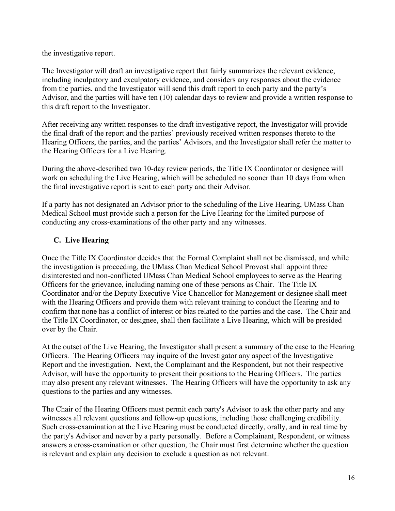the investigative report.

The Investigator will draft an investigative report that fairly summarizes the relevant evidence, including inculpatory and exculpatory evidence, and considers any responses about the evidence from the parties, and the Investigator will send this draft report to each party and the party's Advisor, and the parties will have ten (10) calendar days to review and provide a written response to this draft report to the Investigator.

After receiving any written responses to the draft investigative report, the Investigator will provide the final draft of the report and the parties' previously received written responses thereto to the Hearing Officers, the parties, and the parties' Advisors, and the Investigator shall refer the matter to the Hearing Officers for a Live Hearing.

During the above-described two 10-day review periods, the Title IX Coordinator or designee will work on scheduling the Live Hearing, which will be scheduled no sooner than 10 days from when the final investigative report is sent to each party and their Advisor.

If a party has not designated an Advisor prior to the scheduling of the Live Hearing, UMass Chan Medical School must provide such a person for the Live Hearing for the limited purpose of conducting any cross-examinations of the other party and any witnesses.

### **C. Live Hearing**

Once the Title IX Coordinator decides that the Formal Complaint shall not be dismissed, and while the investigation is proceeding, the UMass Chan Medical School Provost shall appoint three disinterested and non-conflicted UMass Chan Medical School employees to serve as the Hearing Officers for the grievance, including naming one of these persons as Chair. The Title IX Coordinator and/or the Deputy Executive Vice Chancellor for Management or designee shall meet with the Hearing Officers and provide them with relevant training to conduct the Hearing and to confirm that none has a conflict of interest or bias related to the parties and the case. The Chair and the Title IX Coordinator, or designee, shall then facilitate a Live Hearing, which will be presided over by the Chair.

At the outset of the Live Hearing, the Investigator shall present a summary of the case to the Hearing Officers. The Hearing Officers may inquire of the Investigator any aspect of the Investigative Report and the investigation. Next, the Complainant and the Respondent, but not their respective Advisor, will have the opportunity to present their positions to the Hearing Officers. The parties may also present any relevant witnesses. The Hearing Officers will have the opportunity to ask any questions to the parties and any witnesses.

The Chair of the Hearing Officers must permit each party's Advisor to ask the other party and any witnesses all relevant questions and follow-up questions, including those challenging credibility. Such cross-examination at the Live Hearing must be conducted directly, orally, and in real time by the party's Advisor and never by a party personally. Before a Complainant, Respondent, or witness answers a cross-examination or other question, the Chair must first determine whether the question is relevant and explain any decision to exclude a question as not relevant.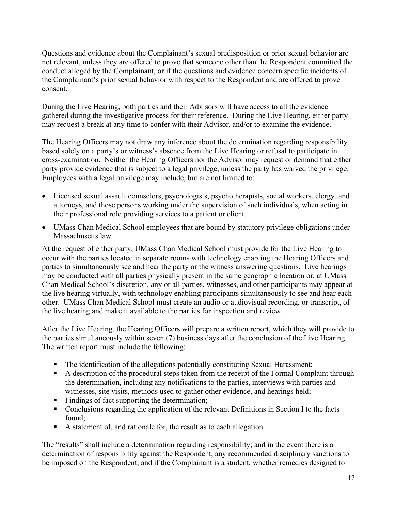Questions and evidence about the Complainant's sexual predisposition or prior sexual behavior are not relevant, unless they are offered to prove that someone other than the Respondent committed the conduct alleged by the Complainant, or if the questions and evidence concern specific incidents of the Complainant's prior sexual behavior with respect to the Respondent and are offered to prove consent.

During the Live Hearing, both parties and their Advisors will have access to all the evidence gathered during the investigative process for their reference. During the Live Hearing, either party may request a break at any time to confer with their Advisor, and/or to examine the evidence.

The Hearing Officers may not draw any inference about the determination regarding responsibility based solely on a party's or witness's absence from the Live Hearing or refusal to participate in cross-examination. Neither the Hearing Officers nor the Advisor may request or demand that either party provide evidence that is subject to a legal privilege, unless the party has waived the privilege. Employees with a legal privilege may include, but are not limited to:

- Licensed sexual assault counselors, psychologists, psychotherapists, social workers, clergy, and attorneys, and those persons working under the supervision of such individuals, when acting in their professional role providing services to a patient or client.
- UMass Chan Medical School employees that are bound by statutory privilege obligations under Massachusetts law.

At the request of either party, UMass Chan Medical School must provide for the Live Hearing to occur with the parties located in separate rooms with technology enabling the Hearing Officers and parties to simultaneously see and hear the party or the witness answering questions. Live hearings may be conducted with all parties physically present in the same geographic location or, at UMass Chan Medical School's discretion, any or all parties, witnesses, and other participants may appear at the live hearing virtually, with technology enabling participants simultaneously to see and hear each other. UMass Chan Medical School must create an audio or audiovisual recording, or transcript, of the live hearing and make it available to the parties for inspection and review.

After the Live Hearing, the Hearing Officers will prepare a written report, which they will provide to the parties simultaneously within seven (7) business days after the conclusion of the Live Hearing. The written report must include the following:

- **The identification of the allegations potentially constituting Sexual Harassment;**
- A description of the procedural steps taken from the receipt of the Formal Complaint through the determination, including any notifications to the parties, interviews with parties and witnesses, site visits, methods used to gather other evidence, and hearings held;
- Findings of fact supporting the determination;
- Conclusions regarding the application of the relevant Definitions in Section I to the facts found;
- A statement of, and rationale for, the result as to each allegation.

The "results" shall include a determination regarding responsibility; and in the event there is a determination of responsibility against the Respondent, any recommended disciplinary sanctions to be imposed on the Respondent; and if the Complainant is a student, whether remedies designed to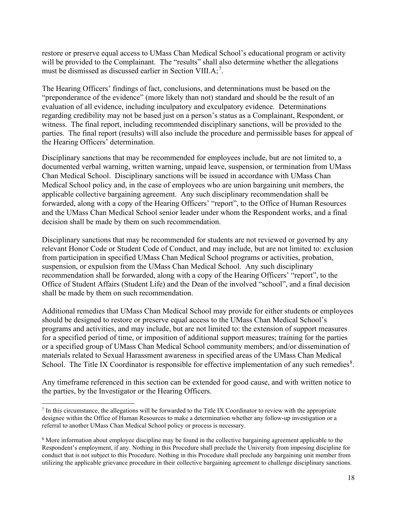restore or preserve equal access to UMass Chan Medical School's educational program or activity will be provided to the Complainant. The "results" shall also determine whether the allegations must be dismissed as discussed earlier in Section VIII.A;<sup>[7](#page-17-0)</sup>.

The Hearing Officers' findings of fact, conclusions, and determinations must be based on the "preponderance of the evidence" (more likely than not) standard and should be the result of an evaluation of all evidence, including inculpatory and exculpatory evidence. Determinations regarding credibility may not be based just on a person's status as a Complainant, Respondent, or witness. The final report, including recommended disciplinary sanctions, will be provided to the parties. The final report (results) will also include the procedure and permissible bases for appeal of the Hearing Officers' determination.

Disciplinary sanctions that may be recommended for employees include, but are not limited to, a documented verbal warning, written warning, unpaid leave, suspension, or termination from UMass Chan Medical School. Disciplinary sanctions will be issued in accordance with UMass Chan Medical School policy and, in the case of employees who are union bargaining unit members, the applicable collective bargaining agreement. Any such disciplinary recommendation shall be forwarded, along with a copy of the Hearing Officers' "report", to the Office of Human Resources and the UMass Chan Medical School senior leader under whom the Respondent works, and a final decision shall be made by them on such recommendation.

Disciplinary sanctions that may be recommended for students are not reviewed or governed by any relevant Honor Code or Student Code of Conduct, and may include, but are not limited to: exclusion from participation in specified UMass Chan Medical School programs or activities, probation, suspension, or expulsion from the UMass Chan Medical School. Any such disciplinary recommendation shall be forwarded, along with a copy of the Hearing Officers' "report", to the Office of Student Affairs (Student Life) and the Dean of the involved "school", and a final decision shall be made by them on such recommendation.

Additional remedies that UMass Chan Medical School may provide for either students or employees should be designed to restore or preserve equal access to the UMass Chan Medical School's programs and activities, and may include, but are not limited to: the extension of support measures for a specified period of time, or imposition of additional support measures; training for the parties or a specified group of UMass Chan Medical School community members; and/or dissemination of materials related to Sexual Harassment awareness in specified areas of the UMass Chan Medical School. The Title IX Coordinator is responsible for effective implementation of any such remedies $8$ .

Any timeframe referenced in this section can be extended for good cause, and with written notice to the parties, by the Investigator or the Hearing Officers.

<span id="page-17-0"></span> $<sup>7</sup>$  In this circumstance, the allegations will be forwarded to the Title IX Coordinator to review with the appropriate</sup> designee within the Office of Human Resources to make a determination whether any follow-up investigation or a referral to another UMass Chan Medical School policy or process is necessary.

<span id="page-17-1"></span><sup>&</sup>lt;sup>8</sup> More information about employee discipline may be found in the collective bargaining agreement applicable to the Respondent's employment, if any. Nothing in this Procedure shall preclude the University from imposing discipline for conduct that is not subject to this Procedure. Nothing in this Procedure shall preclude any bargaining unit member from utilizing the applicable grievance procedure in their collective bargaining agreement to challenge disciplinary sanctions.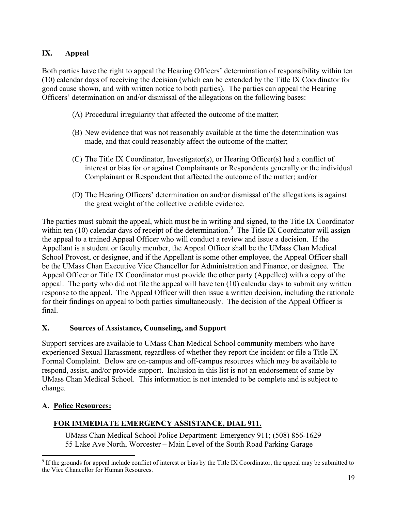# **IX. Appeal**

Both parties have the right to appeal the Hearing Officers' determination of responsibility within ten (10) calendar days of receiving the decision (which can be extended by the Title IX Coordinator for good cause shown, and with written notice to both parties). The parties can appeal the Hearing Officers' determination on and/or dismissal of the allegations on the following bases:

- (A) Procedural irregularity that affected the outcome of the matter;
- (B) New evidence that was not reasonably available at the time the determination was made, and that could reasonably affect the outcome of the matter;
- (C) The Title IX Coordinator, Investigator(s), or Hearing Officer(s) had a conflict of interest or bias for or against Complainants or Respondents generally or the individual Complainant or Respondent that affected the outcome of the matter; and/or
- (D) The Hearing Officers' determination on and/or dismissal of the allegations is against the great weight of the collective credible evidence.

The parties must submit the appeal, which must be in writing and signed, to the Title IX Coordinator within ten (10) calendar days of receipt of the determination.<sup>[9](#page-18-0)</sup> The Title IX Coordinator will assign the appeal to a trained Appeal Officer who will conduct a review and issue a decision. If the Appellant is a student or faculty member, the Appeal Officer shall be the UMass Chan Medical School Provost, or designee, and if the Appellant is some other employee, the Appeal Officer shall be the UMass Chan Executive Vice Chancellor for Administration and Finance, or designee. The Appeal Officer or Title IX Coordinator must provide the other party (Appellee) with a copy of the appeal. The party who did not file the appeal will have ten (10) calendar days to submit any written response to the appeal. The Appeal Officer will then issue a written decision, including the rationale for their findings on appeal to both parties simultaneously. The decision of the Appeal Officer is final.

## **X. Sources of Assistance, Counseling, and Support**

Support services are available to UMass Chan Medical School community members who have experienced Sexual Harassment, regardless of whether they report the incident or file a Title IX Formal Complaint. Below are on-campus and off-campus resources which may be available to respond, assist, and/or provide support. Inclusion in this list is not an endorsement of same by UMass Chan Medical School. This information is not intended to be complete and is subject to change.

### **A. Police Resources:**

## **FOR IMMEDIATE EMERGENCY ASSISTANCE, DIAL 911.**

UMass Chan Medical School Police Department: Emergency 911; (508) 856-1629 55 Lake Ave North, Worcester – Main Level of the South Road Parking Garage

<span id="page-18-0"></span><sup>&</sup>lt;sup>9</sup> If the grounds for appeal include conflict of interest or bias by the Title IX Coordinator, the appeal may be submitted to the Vice Chancellor for Human Resources.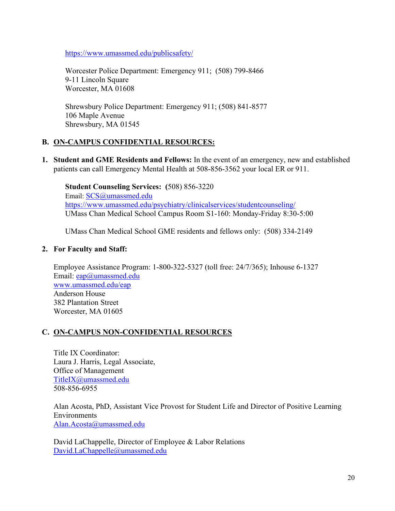<https://www.umassmed.edu/publicsafety/>

Worcester Police Department: Emergency 911; (508) 799-8466 9-11 Lincoln Square Worcester, MA 01608

Shrewsbury Police Department: Emergency 911; (508) 841-8577 106 Maple Avenue Shrewsbury, MA 01545

### **B. ON-CAMPUS CONFIDENTIAL RESOURCES:**

**1. Student and GME Residents and Fellows:** In the event of an emergency, new and established patients can call Emergency Mental Health at 508-856-3562 your local ER or 911.

**Student Counseling Services: (**508) 856-3220 Email: [SCS@umassmed.edu](mailto:SCS@umassmed.edu) <https://www.umassmed.edu/psychiatry/clinicalservices/studentcounseling/> UMass Chan Medical School Campus Room S1-160: Monday-Friday 8:30-5:00

UMass Chan Medical School GME residents and fellows only: (508) 334-2149

### **2. For Faculty and Staff:**

Employee Assistance Program: 1-800-322-5327 (toll free: 24/7/365); Inhouse 6-1327 Email: [eap@umassmed.edu](mailto:eap@umassmed.edu) [www.umassmed.edu/eap](http://www.umassmed.edu/eap) Anderson House 382 Plantation Street Worcester, MA 01605

## **C. ON-CAMPUS NON-CONFIDENTIAL RESOURCES**

Title IX Coordinator: Laura J. Harris, Legal Associate, Office of Management [TitleIX@umassmed.edu](mailto:TitleIX@umassmed.edu) 508-856-6955

Alan Acosta, PhD, Assistant Vice Provost for Student Life and Director of Positive Learning Environments [Alan.Acosta@umassmed.edu](mailto:Alan.Acosta@umassmed.edu)

David LaChappelle, Director of Employee & Labor Relations [David.LaChappelle@umassmed.edu](mailto:David.LaChappelle@umassmed.edu)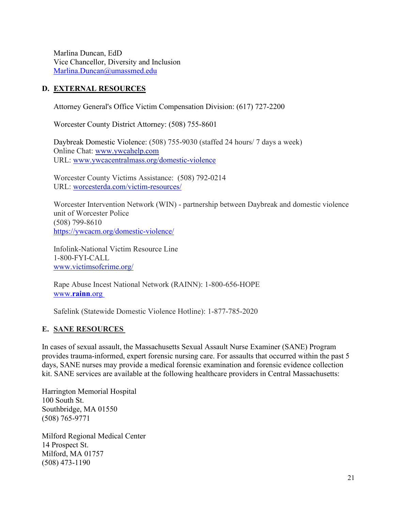Marlina Duncan, EdD Vice Chancellor, Diversity and Inclusion [Marlina.Duncan@umassmed.edu](mailto:Marlina.Duncan@umassmed.edu)

#### **D. EXTERNAL RESOURCES**

Attorney General's Office Victim Compensation Division: (617) 727-2200

Worcester County District Attorney: (508) 755-8601

Daybreak Domestic Violence: (508) 755-9030 (staffed 24 hours/ 7 days a week) Online Chat: [www.ywcahelp.com](http://www.ywcahelp.com/) URL: [www.ywcacentralmass.org/domestic-violence](http://www.ywcacentralmass.org/domestic-violence)

Worcester County Victims Assistance: (508) 792-0214 URL: [worcesterda.com/victim-resources/](http://worcesterda.com/victim-resources/)

Worcester Intervention Network (WIN) - partnership between Daybreak and domestic violence unit of Worcester Police (508) 799-8610 <https://ywcacm.org/domestic-violence/>

Infolink-National Victim Resource Line 1-800-FYI-CALL [www.victimsofcrime.org/](https://www.victimsofcrime.org/)

Rape Abuse Incest National Network (RAINN): 1-800-656-HOPE [www.](http://www.rainn.org%C2%A0)**rainn**.org

Safelink (Statewide Domestic Violence Hotline): 1-877-785-2020

#### **E. SANE RESOURCES**

In cases of sexual assault, the Massachusetts Sexual Assault Nurse Examiner (SANE) Program provides trauma-informed, expert forensic nursing care. For assaults that occurred within the past 5 days, SANE nurses may provide a medical forensic examination and forensic evidence collection kit. SANE services are available at the following healthcare providers in Central Massachusetts:

Harrington Memorial Hospital 100 South St. Southbridge, MA 01550 (508) 765-9771

Milford Regional Medical Center 14 Prospect St. Milford, MA 01757 (508) 473-1190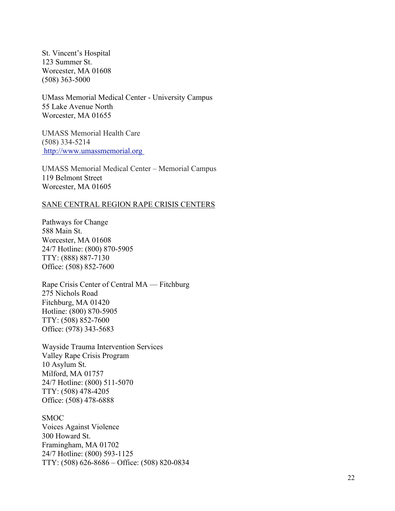St. Vincent's Hospital 123 Summer St. Worcester, MA 01608 (508) 363 -5000

UMass Memorial Medical Center - University Campus 55 Lake Avenue North Worcester, MA 01655

UMASS Memorial Health Care (508) 334 -5214 [http://www.umassmemorial.org](http://www.umassmemorial.org/)

UMASS Memorial Medical Center – Memorial Campus 119 Belmont Street Worcester, MA 01605

#### SANE CENTRAL REGION RAPE CRISIS CENTERS

Pathways for Change 588 Main St. Worcester, MA 0160 8 24/7 Hotline: (800) 870 -5905 TTY: (888) 887 -7130 Office: (508) 852 -7600

Rape Crisis Center of Central MA — Fitchburg 275 Nichols Road Fitchburg, MA 01420 Hotline: (800) 870 -5905 TTY: (508) 852 -7600 Office: (978) 343 -5683

Wayside Trauma Intervention Services Valley Rape Crisis Program 10 Asylum St. Milford, MA 01757 24/7 Hotline: (800) 511 -5070 TTY: (508) 478 -4205 Office: (508) 478 -6888

**SMOC** 

Voices Against Violence 300 Howard St. Framingham, MA 01702 24/7 Hotline: (800) 593 -1125 TTY: (508) 626 -8686 – Office: (508) 820 -0834